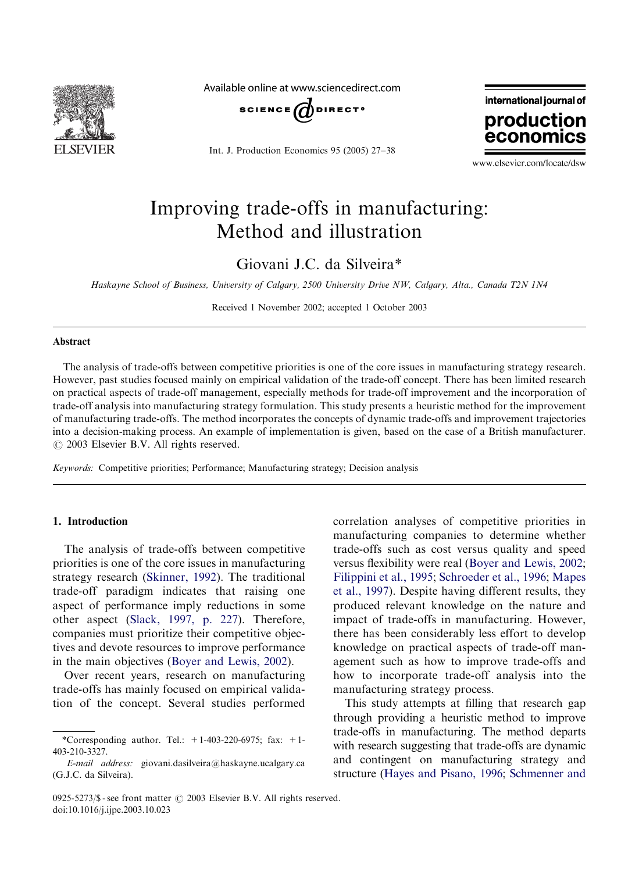

Available online at www.sciencedirect.com



Int. J. Production Economics 95 (2005) 27–38



www.elsevier.com/locate/dsw

## Improving trade-offs in manufacturing: Method and illustration

Giovani J.C. da Silveira\*

Haskayne School of Business, University of Calgary, 2500 University Drive NW, Calgary, Alta., Canada T2N 1N4

Received 1 November 2002; accepted 1 October 2003

#### Abstract

The analysis of trade-offs between competitive priorities is one of the core issues in manufacturing strategy research. However, past studies focused mainly on empirical validation of the trade-off concept. There has been limited research on practical aspects of trade-off management, especially methods for trade-off improvement and the incorporation of trade-off analysis into manufacturing strategy formulation. This study presents a heuristic method for the improvement of manufacturing trade-offs. The method incorporates the concepts of dynamic trade-offs and improvement trajectories into a decision-making process. An example of implementation is given, based on the case of a British manufacturer.  $\odot$  2003 Elsevier B.V. All rights reserved.

Keywords: Competitive priorities; Performance; Manufacturing strategy; Decision analysis

#### 1. Introduction

The analysis of trade-offs between competitive priorities is one of the core issues in manufacturing strategy research ([Skinner, 1992](#page--1-0)). The traditional trade-off paradigm indicates that raising one aspect of performance imply reductions in some other aspect ([Slack, 1997, p. 227\)](#page--1-0). Therefore, companies must prioritize their competitive objectives and devote resources to improve performance in the main objectives ([Boyer and Lewis, 2002\)](#page--1-0).

Over recent years, research on manufacturing trade-offs has mainly focused on empirical validation of the concept. Several studies performed

correlation analyses of competitive priorities in manufacturing companies to determine whether trade-offs such as cost versus quality and speed versus flexibility were real ([Boyer and Lewis, 2002](#page--1-0); [Filippini et al., 1995;](#page--1-0) [Schroeder et al., 1996](#page--1-0); [Mapes](#page--1-0) [et al., 1997](#page--1-0)). Despite having different results, they produced relevant knowledge on the nature and impact of trade-offs in manufacturing. However, there has been considerably less effort to develop knowledge on practical aspects of trade-off management such as how to improve trade-offs and how to incorporate trade-off analysis into the manufacturing strategy process.

This study attempts at filling that research gap through providing a heuristic method to improve trade-offs in manufacturing. The method departs with research suggesting that trade-offs are dynamic and contingent on manufacturing strategy and structure [\(Hayes and Pisano, 1996](#page--1-0); [Schmenner and](#page--1-0)

<sup>\*</sup>Corresponding author. Tel.:  $+1-403-220-6975$ ; fax:  $+1-$ 403-210-3327.

E-mail address: giovani.dasilveira@haskayne.ucalgary.ca (G.J.C. da Silveira).

<sup>0925-5273/\$ -</sup> see front matter  $\odot$  2003 Elsevier B.V. All rights reserved. doi:10.1016/j.ijpe.2003.10.023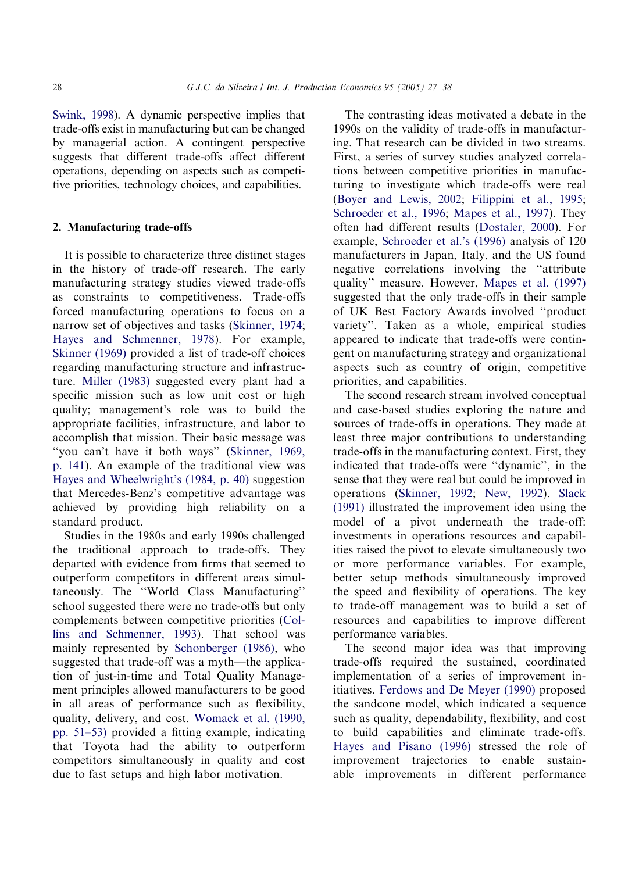[Swink, 1998](#page--1-0)). A dynamic perspective implies that trade-offs exist in manufacturing but can be changed by managerial action. A contingent perspective suggests that different trade-offs affect different operations, depending on aspects such as competitive priorities, technology choices, and capabilities.

### 2. Manufacturing trade-offs

It is possible to characterize three distinct stages in the history of trade-off research. The early manufacturing strategy studies viewed trade-offs as constraints to competitiveness. Trade-offs forced manufacturing operations to focus on a narrow set of objectives and tasks [\(Skinner, 1974](#page--1-0); [Hayes and Schmenner, 1978\)](#page--1-0). For example, [Skinner \(1969\)](#page--1-0) provided a list of trade-off choices regarding manufacturing structure and infrastructure. [Miller \(1983\)](#page--1-0) suggested every plant had a specific mission such as low unit cost or high quality; management's role was to build the appropriate facilities, infrastructure, and labor to accomplish that mission. Their basic message was ''you can't have it both ways'' [\(Skinner, 1969,](#page--1-0) [p. 141](#page--1-0)). An example of the traditional view was [Hayes and Wheelwright's \(1984, p. 40\)](#page--1-0) suggestion that Mercedes-Benz's competitive advantage was achieved by providing high reliability on a standard product.

Studies in the 1980s and early 1990s challenged the traditional approach to trade-offs. They departed with evidence from firms that seemed to outperform competitors in different areas simultaneously. The ''World Class Manufacturing'' school suggested there were no trade-offs but only complements between competitive priorities [\(Col](#page--1-0)[lins and Schmenner, 1993\)](#page--1-0). That school was mainly represented by [Schonberger \(1986\),](#page--1-0) who suggested that trade-off was a myth—the application of just-in-time and Total Quality Management principles allowed manufacturers to be good in all areas of performance such as flexibility, quality, delivery, and cost. [Womack et al. \(1990,](#page--1-0) [pp. 51–53\)](#page--1-0) provided a fitting example, indicating that Toyota had the ability to outperform competitors simultaneously in quality and cost due to fast setups and high labor motivation.

The contrasting ideas motivated a debate in the 1990s on the validity of trade-offs in manufacturing. That research can be divided in two streams. First, a series of survey studies analyzed correlations between competitive priorities in manufacturing to investigate which trade-offs were real [\(Boyer and Lewis, 2002](#page--1-0); [Filippini et al., 1995](#page--1-0); [Schroeder et al., 1996;](#page--1-0) [Mapes et al., 1997\)](#page--1-0). They often had different results [\(Dostaler, 2000](#page--1-0)). For example, [Schroeder et al.'s \(1996\)](#page--1-0) analysis of 120 manufacturers in Japan, Italy, and the US found negative correlations involving the ''attribute quality'' measure. However, [Mapes et al. \(1997\)](#page--1-0) suggested that the only trade-offs in their sample ofUK Best Factory Awards involved ''product variety''. Taken as a whole, empirical studies appeared to indicate that trade-offs were contingent on manufacturing strategy and organizational aspects such as country of origin, competitive priorities, and capabilities.

The second research stream involved conceptual and case-based studies exploring the nature and sources of trade-offs in operations. They made at least three major contributions to understanding trade-offs in the manufacturing context. First, they indicated that trade-offs were ''dynamic'', in the sense that they were real but could be improved in operations ([Skinner, 1992;](#page--1-0) [New, 1992\)](#page--1-0). [Slack](#page--1-0) [\(1991\)](#page--1-0) illustrated the improvement idea using the model of a pivot underneath the trade-off: investments in operations resources and capabilities raised the pivot to elevate simultaneously two or more performance variables. For example, better setup methods simultaneously improved the speed and flexibility of operations. The key to trade-off management was to build a set of resources and capabilities to improve different performance variables.

The second major idea was that improving trade-offs required the sustained, coordinated implementation of a series of improvement initiatives. [Ferdows and De Meyer \(1990\)](#page--1-0) proposed the sandcone model, which indicated a sequence such as quality, dependability, flexibility, and cost to build capabilities and eliminate trade-offs. [Hayes and Pisano \(1996\)](#page--1-0) stressed the role of improvement trajectories to enable sustainable improvements in different performance